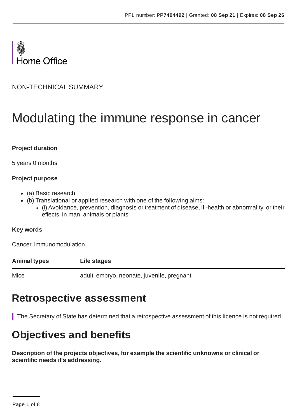

NON-TECHNICAL SUMMARY

# Modulating the immune response in cancer

#### **Project duration**

5 years 0 months

#### **Project purpose**

- (a) Basic research
- (b) Translational or applied research with one of the following aims:
	- (i) Avoidance, prevention, diagnosis or treatment of disease, ill-health or abnormality, or their effects, in man, animals or plants

#### **Key words**

Cancer, Immunomodulation

#### **Animal types Life stages**

Mice adult, embryo, neonate, juvenile, pregnant

### **Retrospective assessment**

The Secretary of State has determined that a retrospective assessment of this licence is not required.

# **Objectives and benefits**

**Description of the projects objectives, for example the scientific unknowns or clinical or scientific needs it's addressing.**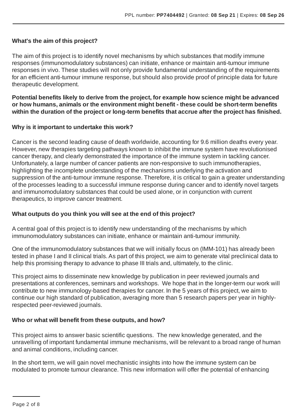#### **What's the aim of this project?**

The aim of this project is to identify novel mechanisms by which substances that modify immune responses (immunomodulatory substances) can initiate, enhance or maintain anti-tumour immune responses in vivo. These studies will not only provide fundamental understanding of the requirements for an efficient anti-tumour immune response, but should also provide proof of principle data for future therapeutic development.

**Potential benefits likely to derive from the project, for example how science might be advanced or how humans, animals or the environment might benefit - these could be short-term benefits within the duration of the project or long-term benefits that accrue after the project has finished.**

#### **Why is it important to undertake this work?**

Cancer is the second leading cause of death worldwide, accounting for 9.6 million deaths every year. However, new therapies targeting pathways known to inhibit the immune system have revolutionised cancer therapy, and clearly demonstrated the importance of the immune system in tackling cancer. Unfortunately, a large number of cancer patients are non-responsive to such immunotherapies, highlighting the incomplete understanding of the mechanisms underlying the activation and suppression of the anti-tumour immune response. Therefore, it is critical to gain a greater understanding of the processes leading to a successful immune response during cancer and to identify novel targets and immunomodulatory substances that could be used alone, or in conjunction with current therapeutics, to improve cancer treatment.

#### **What outputs do you think you will see at the end of this project?**

A central goal of this project is to identify new understanding of the mechanisms by which immunomodulatory substances can initiate, enhance or maintain anti-tumour immunity.

One of the immunomodulatory substances that we will initially focus on (IMM-101) has already been tested in phase I and II clinical trials. As part of this project, we aim to generate vital preclinical data to help this promising therapy to advance to phase III trials and, ultimately, to the clinic.

This project aims to disseminate new knowledge by publication in peer reviewed journals and presentations at conferences, seminars and workshops. We hope that in the longer-term our work will contribute to new immunology-based therapies for cancer. In the 5 years of this project, we aim to continue our high standard of publication, averaging more than 5 research papers per year in highlyrespected peer-reviewed journals.

#### **Who or what will benefit from these outputs, and how?**

This project aims to answer basic scientific questions. The new knowledge generated, and the unravelling of important fundamental immune mechanisms, will be relevant to a broad range of human and animal conditions, including cancer.

In the short term, we will gain novel mechanistic insights into how the immune system can be modulated to promote tumour clearance. This new information will offer the potential of enhancing

Page 2 of 8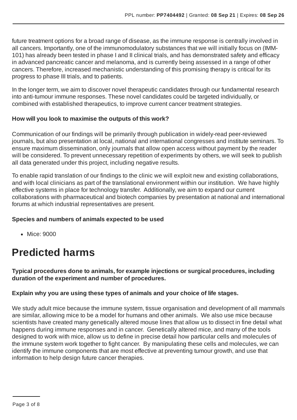future treatment options for a broad range of disease, as the immune response is centrally involved in all cancers. Importantly, one of the immunomodulatory substances that we will initially focus on (IMM-101) has already been tested in phase I and II clinical trials, and has demonstrated safety and efficacy in advanced pancreatic cancer and melanoma, and is currently being assessed in a range of other cancers. Therefore, increased mechanistic understanding of this promising therapy is critical for its progress to phase III trials, and to patients.

In the longer term, we aim to discover novel therapeutic candidates through our fundamental research into anti-tumour immune responses. These novel candidates could be targeted individually, or combined with established therapeutics, to improve current cancer treatment strategies.

#### **How will you look to maximise the outputs of this work?**

Communication of our findings will be primarily through publication in widely-read peer-reviewed journals, but also presentation at local, national and international congresses and institute seminars. To ensure maximum dissemination, only journals that allow open access without payment by the reader will be considered. To prevent unnecessary repetition of experiments by others, we will seek to publish all data generated under this project, including negative results.

To enable rapid translation of our findings to the clinic we will exploit new and existing collaborations, and with local clinicians as part of the translational environment within our institution. We have highly effective systems in place for technology transfer. Additionally, we aim to expand our current collaborations with pharmaceutical and biotech companies by presentation at national and international forums at which industrial representatives are present.

#### **Species and numbers of animals expected to be used**

• Mice: 9000

# **Predicted harms**

**Typical procedures done to animals, for example injections or surgical procedures, including duration of the experiment and number of procedures.**

#### **Explain why you are using these types of animals and your choice of life stages.**

We study adult mice because the immune system, tissue organisation and development of all mammals are similar, allowing mice to be a model for humans and other animals. We also use mice because scientists have created many genetically altered mouse lines that allow us to dissect in fine detail what happens during immune responses and in cancer. Genetically altered mice, and many of the tools designed to work with mice, allow us to define in precise detail how particular cells and molecules of the immune system work together to fight cancer. By manipulating these cells and molecules, we can identify the immune components that are most effective at preventing tumour growth, and use that information to help design future cancer therapies.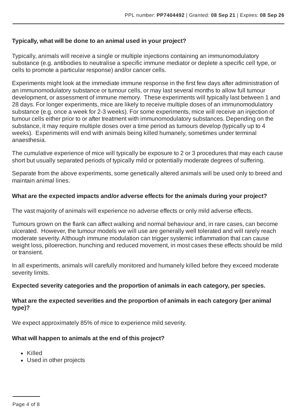#### **Typically, what will be done to an animal used in your project?**

Typically, animals will receive a single or multiple injections containing an immunomodulatory substance (e.g. antibodies to neutralise a specific immune mediator or deplete a specific cell type, or cells to promote a particular response) and/or cancer cells.

Experiments might look at the immediate immune response in the first few days after administration of an immunomodulatory substance or tumour cells, or may last several months to allow full tumour development, or assessment of immune memory. These experiments will typically last between 1 and 28 days. For longer experiments, mice are likely to receive multiple doses of an immunomodulatory substance (e.g. once a week for 2-3 weeks). For some experiments, mice will receive an injection of tumour cells either prior to or after treatment with immunomodulatory substances. Depending on the substance, it may require multiple doses over a time period as tumours develop (typically up to 4 weeks). Experiments will end with animals being killed humanely, sometimes under terminal anaesthesia.

The cumulative experience of mice will typically be exposure to 2 or 3 procedures that may each cause short but usually separated periods of typically mild or potentially moderate degrees of suffering.

Separate from the above experiments, some genetically altered animals will be used only to breed and maintain animal lines.

#### **What are the expected impacts and/or adverse effects for the animals during your project?**

The vast majority of animals will experience no adverse effects or only mild adverse effects.

Tumours grown on the flank can affect walking and normal behaviour and, in rare cases, can become ulcerated. However, the tumour models we will use are generally well tolerated and will rarely reach moderate severity.Although immune modulation can trigger systemic inflammation that can cause weight loss, piloerection, hunching and reduced movement, in most cases these effects should be mild or transient.

In all experiments, animals will carefully monitored and humanely killed before they exceed moderate severity limits.

#### **Expected severity categories and the proportion of animals in each category, per species.**

#### **What are the expected severities and the proportion of animals in each category (per animal type)?**

We expect approximately 85% of mice to experience mild severity.

#### **What will happen to animals at the end of this project?**

- Killed
- Used in other projects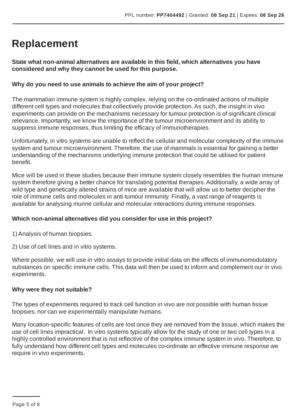# **Replacement**

**State what non-animal alternatives are available in this field, which alternatives you have considered and why they cannot be used for this purpose.**

#### **Why do you need to use animals to achieve the aim of your project?**

The mammalian immune system is highly complex, relying on the co-ordinated actions of multiple different cell types and molecules that collectively provide protection.As such, the insight in vivo experiments can provide on the mechanisms necessary for tumour protection is of significant clinical relevance. Importantly, we know the importance of the tumour microenvironment and its ability to suppress immune responses, thus limiting the efficacy of immunotherapies.

Unfortunately, in vitro systems are unable to reflect the cellular and molecular complexity of the immune system and tumour microenvironment. Therefore, the use of mammals is essential for gaining a better understanding of the mechanisms underlying immune protection that could be utilised for patient benefit.

Mice will be used in these studies because their immune system closely resembles the human immune system therefore giving a better chance for translating potential therapies. Additionally, a wide array of wild type and genetically altered strains of mice are available that will allow us to better decipher the role of immune cells and molecules in anti-tumour immunity. Finally, a vast range of reagents is available for analysing murine cellular and molecular interactions during immune responses.

#### **Which non-animal alternatives did you consider for use in this project?**

1) Analysis of human biopsies.

2) Use of cell lines and in vitro systems.

Where possible, we will use in vitro assays to provide initial data on the effects of immunomodulatory substances on specific immune cells. This data will then be used to inform and complement our in vivo experiments.

#### **Why were they not suitable?**

The types of experiments required to track cell function in vivo are not possible with human tissue biopsies, nor can we experimentally manipulate humans.

Many location-specific features of cells are lost once they are removed from the tissue, which makes the use of cell lines impractical. In vitro systems typically allow for the study of one or two cell types in a highly controlled environment that is not reflective of the complex immune system in vivo. Therefore, to fully understand how different cell types and molecules co-ordinate an effective immune response we require in vivo experiments.

Page 5 of 8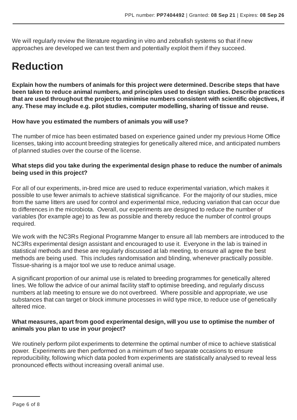We will regularly review the literature regarding in vitro and zebrafish systems so that if new approaches are developed we can test them and potentially exploit them if they succeed.

# **Reduction**

**Explain how the numbers of animals for this project were determined. Describe steps that have been taken to reduce animal numbers, and principles used to design studies. Describe practices that are used throughout the project to minimise numbers consistent with scientific objectives, if any. These may include e.g. pilot studies, computer modelling, sharing of tissue and reuse.**

#### **How have you estimated the numbers of animals you will use?**

The number of mice has been estimated based on experience gained under my previous Home Office licenses, taking into account breeding strategies for genetically altered mice, and anticipated numbers of planned studies over the course of the license.

#### **What steps did you take during the experimental design phase to reduce the number of animals being used in this project?**

For all of our experiments, in-bred mice are used to reduce experimental variation, which makes it possible to use fewer animals to achieve statistical significance. For the majority of our studies, mice from the same litters are used for control and experimental mice, reducing variation that can occur due to differences in the microbiota. Overall, our experiments are designed to reduce the number of variables (for example age) to as few as possible and thereby reduce the number of control groups required.

We work with the NC3Rs Regional Programme Manger to ensure all lab members are introduced to the NC3Rs experimental design assistant and encouraged to use it. Everyone in the lab is trained in statistical methods and these are regularly discussed at lab meeting, to ensure all agree the best methods are being used. This includes randomisation and blinding, whenever practically possible. Tissue-sharing is a major tool we use to reduce animal usage.

A significant proportion of our animal use is related to breeding programmes for genetically altered lines. We follow the advice of our animal facility staff to optimise breeding, and regularly discuss numbers at lab meeting to ensure we do not overbreed. Where possible and appropriate, we use substances that can target or block immune processes in wild type mice, to reduce use of genetically altered mice.

#### **What measures, apart from good experimental design, will you use to optimise the number of animals you plan to use in your project?**

We routinely perform pilot experiments to determine the optimal number of mice to achieve statistical power. Experiments are then performed on a minimum of two separate occasions to ensure reproducibility, following which data pooled from experiments are statistically analysed to reveal less pronounced effects without increasing overall animal use.

Page 6 of 8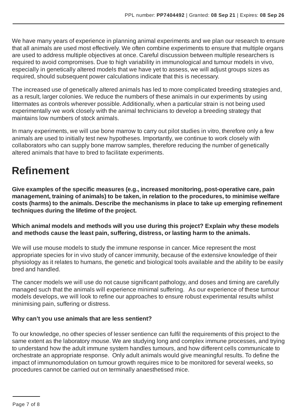We have many years of experience in planning animal experiments and we plan our research to ensure that all animals are used most effectively. We often combine experiments to ensure that multiple organs are used to address multiple objectives at once. Careful discussion between multiple researchers is required to avoid compromises. Due to high variability in immunological and tumour models in vivo, especially in genetically altered models that we have yet to assess, we will adjust groups sizes as required, should subsequent power calculations indicate that this is necessary.

The increased use of genetically altered animals has led to more complicated breeding strategies and, as a result, larger colonies. We reduce the numbers of these animals in our experiments by using littermates as controls wherever possible. Additionally, when a particular strain is not being used experimentally we work closely with the animal technicians to develop a breeding strategy that maintains low numbers of stock animals.

In many experiments, we will use bone marrow to carry out pilot studies in vitro, therefore only a few animals are used to initially test new hypotheses. Importantly, we continue to work closely with collaborators who can supply bone marrow samples, therefore reducing the number of genetically altered animals that have to bred to facilitate experiments.

## **Refinement**

**Give examples of the specific measures (e.g., increased monitoring, post-operative care, pain management, training of animals) to be taken, in relation to the procedures, to minimise welfare costs (harms) to the animals. Describe the mechanisms in place to take up emerging refinement techniques during the lifetime of the project.**

**Which animal models and methods will you use during this project? Explain why these models and methods cause the least pain, suffering, distress, or lasting harm to the animals.**

We will use mouse models to study the immune response in cancer. Mice represent the most appropriate species for in vivo study of cancer immunity, because of the extensive knowledge of their physiology as it relates to humans, the genetic and biological tools available and the ability to be easily bred and handled.

The cancer models we will use do not cause significant pathology, and doses and timing are carefully managed such that the animals will experience minimal suffering. As our experience of these tumour models develops, we will look to refine our approaches to ensure robust experimental results whilst minimising pain, suffering or distress.

#### **Why can't you use animals that are less sentient?**

To our knowledge, no other species of lesser sentience can fulfil the requirements of this project to the same extent as the laboratory mouse. We are studying long and complex immune processes, and trying to understand how the adult immune system handles tumours, and how different cells communicate to orchestrate an appropriate response. Only adult animals would give meaningful results. To define the impact of immunomodulation on tumour growth requires mice to be monitored for several weeks, so procedures cannot be carried out on terminally anaesthetised mice.

Page 7 of 8